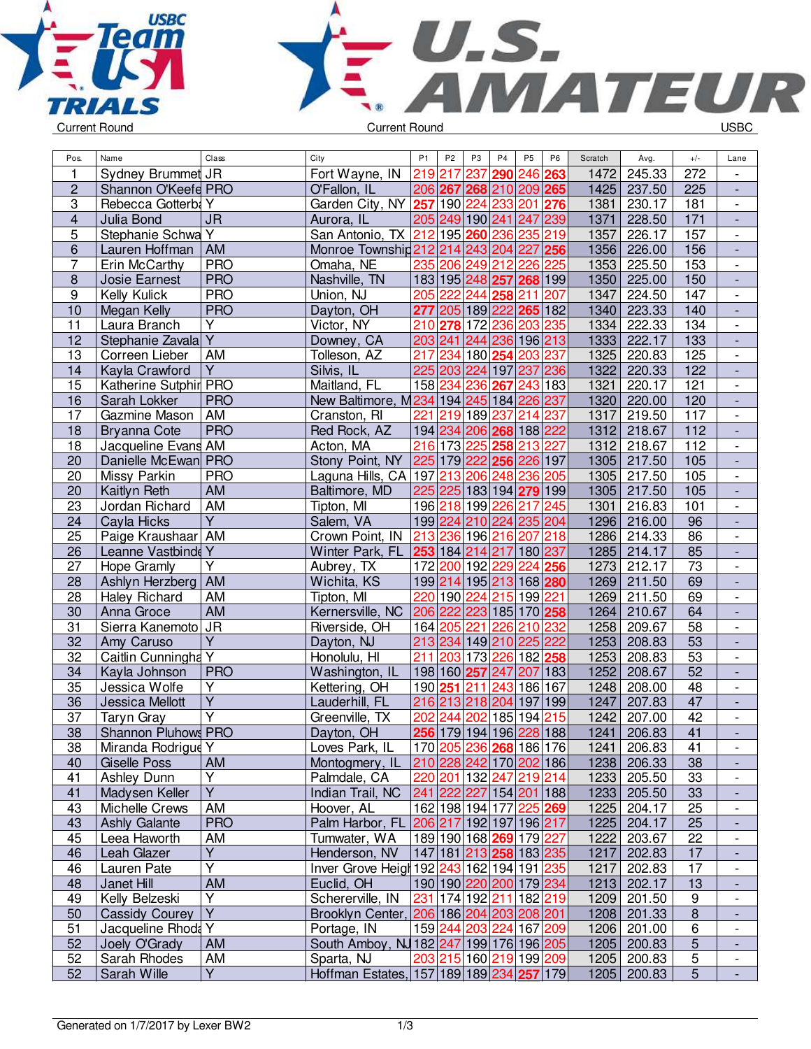



| $\mathbf{1}$<br>Sydney Brummet JR<br>237<br>272<br>Fort Wayne, IN<br>219<br>217<br>290<br>246 263<br>1472<br>245.33<br>$\overline{\phantom{a}}$<br>$\overline{c}$<br>206 267<br>1425<br>225<br>Shannon O'Keefe PRO<br>O'Fallon, IL<br>268 210 209 265<br>237.50<br>$\overline{\phantom{a}}$<br>3<br>233<br>Rebecca Gotterbi Y<br>Garden City, NY 257<br>190 224<br>201<br>1381<br>181<br>276<br>230.17<br>$\overline{\phantom{a}}$<br>$\overline{\mathbf{4}}$<br>$\overline{\mathsf{J}\mathsf{R}}$<br>$\overline{171}$<br>205 249 190 241 247 239<br>1371<br>Julia Bond<br>Aurora, IL<br>228.50<br>$\Box$<br>5<br>Stephanie Schwa Y<br>San Antonio, TX 212<br>195 260 236 235 219<br>157<br>1357<br>226.17<br>$\overline{\phantom{a}}$<br>6<br>AM<br>Monroe Township 212 214 243 204 227<br>$\vert$ 256<br>1356<br>226.00<br>156<br>Lauren Hoffman<br>$\frac{1}{2}$<br>7<br><b>PRO</b><br>Omaha, NE<br>235<br>206<br>212 226<br>225<br>153<br>Erin McCarthy<br>249<br>1353<br>225.50<br>$\overline{\phantom{a}}$<br><b>PRO</b><br>183 195 248 257 268 199<br>1350<br>225.00<br>8<br>Josie Earnest<br>Nashville, TN<br>150<br>$\overline{\phantom{a}}$<br>9<br><b>PRO</b><br>222<br>244<br>1347<br>Kelly Kulick<br>Union, NJ<br>205<br>211<br>224.50<br>147<br>258<br>207<br>10<br><b>PRO</b><br>Dayton, OH<br>277<br>205 189 222 265 182<br>1340<br>223.33<br>140<br>Megan Kelly<br>$\blacksquare$<br>$\overline{Y}$<br>11<br>236<br>1334<br>222.33<br>134<br>Laura Branch<br>Victor, NY<br>210<br>172<br>203<br>235<br>278<br>$\overline{\phantom{a}}$<br>$\overline{\mathsf{Y}}$<br>12<br>Downey, CA<br>203 241 244<br>236<br>196 213<br>1333<br>222.17<br>133<br>Stephanie Zavala<br>$\blacksquare$<br>234<br>13<br>AM<br>Tolleson, AZ<br>217<br>180 254<br>203 237<br>1325<br>220.83<br>125<br>Correen Lieber<br>$\overline{\phantom{a}}$<br>$\overline{Y}$<br>225 203 224 197 237 236<br>122<br>14<br>Silvis, IL<br>1322<br>220.33<br>Kayla Crawford<br>$\Box$<br>Maitland, FL<br>158 234 236 267 243 183<br>121<br>15<br>Katherine Sutphir PRO<br>1321<br>220.17<br>$\blacksquare$<br>16<br><b>PRO</b><br>New Baltimore, M234 194 245 184 226 237<br>1320<br>220.00<br>120<br>Sarah Lokker<br>$\frac{1}{2}$<br>17<br>AM<br>221<br>219 189 237<br>214<br>117<br>Gazmine Mason<br>Cranston, RI<br>237<br>1317<br>219.50<br>$\overline{\phantom{a}}$<br>18<br><b>PRO</b><br>Red Rock, AZ<br>194 234 206 268 188 222<br>1312<br>112<br><b>Bryanna Cote</b><br>218.67<br>$\overline{\phantom{a}}$<br>18<br>216 173 225 258<br>213 227<br>112<br>Jacqueline Evans AM<br>Acton, MA<br>1312<br>218.67<br>$\overline{20}$<br>Danielle McEwan PRO<br>Stony Point, NY<br>225 179 222 256 226 197<br>105<br>1305<br>217.50<br>20<br><b>PRO</b><br>Laguna Hills, CA   197   213   206   248  <br>236<br>105<br>Missy Parkin<br>205<br>1305<br>217.50<br>$\overline{\phantom{a}}$<br>20<br>225 225 183 194 279 199<br>105<br>Kaitlyn Reth<br>AM<br>Baltimore, MD<br>1305<br>217.50<br>÷,<br>AM<br>196 218 199 226<br>23<br>Jordan Richard<br>Tipton, MI<br>217<br>245<br>1301<br>216.83<br>101<br>$\overline{\phantom{a}}$<br>$\overline{Y}$<br>Salem, VA<br>199 224 210 224 235 204<br>96<br>24<br>Cayla Hicks<br>1296<br>216.00<br>213 236 196 216 207 218<br>$\overline{86}$<br>25<br>Paige Kraushaar AM<br>Crown Point, IN<br>1286<br>214.33<br>$\blacksquare$<br>Leanne Vastbinde Y<br>85<br>26<br>253 184 214 217 180 237<br>214.17<br>Winter Park, FL<br>1285<br>$\overline{\phantom{a}}$<br>172 200 192 229 224 256<br>27<br>Υ<br>1273<br>212.17<br>73<br>Hope Gramly<br>Aubrey, TX<br>$\overline{\phantom{a}}$<br>28<br>Ashlyn Herzberg<br><b>AM</b><br>Wichita, KS<br>199 214 195 213 168 280<br>1269<br>211.50<br>69<br>220 190 224 215 199 221<br>1269<br>69<br>28<br><b>Haley Richard</b><br>AM<br>Tipton, MI<br>211.50<br>$\overline{\phantom{a}}$<br>64<br>30<br>AM<br>206 222 223 185 170 258<br>1264<br>Anna Groce<br>Kernersville, NC<br>210.67<br>31<br>Sierra Kanemoto JR<br>58<br>Riverside, OH<br>164 205<br>221<br>226<br>210<br>232<br>1258<br>209.67<br>$\overline{\phantom{a}}$<br>$\overline{Y}$<br>32<br>213 234<br>149 210 225 222<br>1253<br>53<br>Amy Caruso<br>Dayton, NJ<br>208.83<br>$\frac{1}{2}$<br>Caitlin Cunningha Y<br>211 203<br>53<br>32<br>Honolulu, HI<br>173 226<br>182 258<br>1253<br>208.83<br>$\overline{\phantom{a}}$<br>52<br>34<br><b>PRO</b><br>Washington, IL<br>198 160 257 247 207 183<br>1252<br>Kayla Johnson<br>208.67<br>$\overline{Y}$<br>35<br>190 251 <br>211<br>243 186 167<br>48<br>Jessica Wolfe<br>Kettering, OH<br>1248<br>208.00<br>$\mathbf{r}$<br>$\overline{\mathsf{Y}}$<br>216 213 218 204 197 199<br>36<br>47<br>Jessica Mellott<br>Lauderhill, FL<br>1247<br>207.83<br>$\frac{1}{2}$<br>$\overline{\mathsf{Y}}$<br>37<br>202<br>244<br>202<br>185 194 215<br>42<br><b>Taryn Gray</b><br>Greenville, TX<br>1242<br>207.00<br>$\overline{\phantom{a}}$<br>38<br>256 179 194 196 228 188<br>Shannon Pluhows PRO<br>1241<br>206.83<br>41<br>Dayton, OH<br>$\overline{\phantom{a}}$<br>38<br>Miranda Rodrigue Y<br>Loves Park, IL<br> 170 205 236  <b>268</b>  186 176 <br>1241<br>206.83<br>41<br>210 228 242 170 202 186<br>38<br>40<br>Giselle Poss<br><b>AM</b><br>Montogmery, IL<br>1238<br>206.33<br>41<br>Υ<br>33<br>Ashley Dunn<br>Palmdale, CA<br>220 201 132 247 219 214<br>205.50<br>1233<br>$\overline{\phantom{a}}$<br>$\overline{Y}$<br>241 222 227 154 201 188<br>33<br>41<br>Madysen Keller<br>Indian Trail, NC<br>1233<br>205.50<br>162 198 194 177 225 269<br>Michelle Crews<br>AM<br>25<br>43<br>Hoover, AL<br>1225<br>204.17<br>Palm Harbor, FL 206 217 192 197 196 217<br><b>PRO</b><br>25<br>43<br>1225 204.17<br><b>Ashly Galante</b><br>189 190 168 269 179 227<br>Leea Haworth<br>AM<br>Tumwater, WA<br>1222<br>203.67<br>22<br>45<br>$\overline{\phantom{a}}$<br>$\overline{Y}$<br>Henderson, NV<br> 147 181  <mark>213 <b>258</b> 183 235</mark><br>202.83<br>17<br>46<br>Leah Glazer<br>1217<br>$\overline{\phantom{a}}$<br>$\overline{Y}$<br>Lauren Pate<br>Inver Grove Heigh 192 243 162 194 191 235<br>202.83<br>46<br>17<br>1217<br>$\overline{\phantom{a}}$<br>190 190 220 200 179 234<br>48<br>Janet Hill<br>AM<br>Euclid, OH<br>1213<br>202.17<br>13<br>$\overline{\phantom{a}}$<br>231 174 192 211 182 219 | Pos. | Name           | Class | City             | P <sub>1</sub> | P <sub>2</sub> | P <sub>3</sub> | P <sub>4</sub> | P <sub>5</sub> | P <sub>6</sub> | Scratch | Avg.   | $+/-$          | Lane |
|-------------------------------------------------------------------------------------------------------------------------------------------------------------------------------------------------------------------------------------------------------------------------------------------------------------------------------------------------------------------------------------------------------------------------------------------------------------------------------------------------------------------------------------------------------------------------------------------------------------------------------------------------------------------------------------------------------------------------------------------------------------------------------------------------------------------------------------------------------------------------------------------------------------------------------------------------------------------------------------------------------------------------------------------------------------------------------------------------------------------------------------------------------------------------------------------------------------------------------------------------------------------------------------------------------------------------------------------------------------------------------------------------------------------------------------------------------------------------------------------------------------------------------------------------------------------------------------------------------------------------------------------------------------------------------------------------------------------------------------------------------------------------------------------------------------------------------------------------------------------------------------------------------------------------------------------------------------------------------------------------------------------------------------------------------------------------------------------------------------------------------------------------------------------------------------------------------------------------------------------------------------------------------------------------------------------------------------------------------------------------------------------------------------------------------------------------------------------------------------------------------------------------------------------------------------------------------------------------------------------------------------------------------------------------------------------------------------------------------------------------------------------------------------------------------------------------------------------------------------------------------------------------------------------------------------------------------------------------------------------------------------------------------------------------------------------------------------------------------------------------------------------------------------------------------------------------------------------------------------------------------------------------------------------------------------------------------------------------------------------------------------------------------------------------------------------------------------------------------------------------------------------------------------------------------------------------------------------------------------------------------------------------------------------------------------------------------------------------------------------------------------------------------------------------------------------------------------------------------------------------------------------------------------------------------------------------------------------------------------------------------------------------------------------------------------------------------------------------------------------------------------------------------------------------------------------------------------------------------------------------------------------------------------------------------------------------------------------------------------------------------------------------------------------------------------------------------------------------------------------------------------------------------------------------------------------------------------------------------------------------------------------------------------------------------------------------------------------------------------------------------------------------------------------------------------------------------------------------------------------------------------------------------------------------------------------------------------------------------------------------------------------------------------------------------------------------------------------------------------------------------------------------------------------------------------------------------------------------------------------------------------------------------------------------------------------------------------------------------------------------------------------------------------------------------------------------------------------------------------------------------------------------------------------------------------------------------------------------------------------------------------------------------------------------------------------------------------------------------------------------------------------------------------------------------------------------------------------------------------------------------------------------------------------------------------------------------------------------------------------------------------------------------------------------------------------------------------------------------------------------------------------------------------------------------------------------------------------------------------------------------------------------------------------------------------|------|----------------|-------|------------------|----------------|----------------|----------------|----------------|----------------|----------------|---------|--------|----------------|------|
|                                                                                                                                                                                                                                                                                                                                                                                                                                                                                                                                                                                                                                                                                                                                                                                                                                                                                                                                                                                                                                                                                                                                                                                                                                                                                                                                                                                                                                                                                                                                                                                                                                                                                                                                                                                                                                                                                                                                                                                                                                                                                                                                                                                                                                                                                                                                                                                                                                                                                                                                                                                                                                                                                                                                                                                                                                                                                                                                                                                                                                                                                                                                                                                                                                                                                                                                                                                                                                                                                                                                                                                                                                                                                                                                                                                                                                                                                                                                                                                                                                                                                                                                                                                                                                                                                                                                                                                                                                                                                                                                                                                                                                                                                                                                                                                                                                                                                                                                                                                                                                                                                                                                                                                                                                                                                                                                                                                                                                                                                                                                                                                                                                                                                                                                                                                                                                                                                                                                                                                                                                                                                                                                                                                                                                                                                                             |      |                |       |                  |                |                |                |                |                |                |         |        |                |      |
|                                                                                                                                                                                                                                                                                                                                                                                                                                                                                                                                                                                                                                                                                                                                                                                                                                                                                                                                                                                                                                                                                                                                                                                                                                                                                                                                                                                                                                                                                                                                                                                                                                                                                                                                                                                                                                                                                                                                                                                                                                                                                                                                                                                                                                                                                                                                                                                                                                                                                                                                                                                                                                                                                                                                                                                                                                                                                                                                                                                                                                                                                                                                                                                                                                                                                                                                                                                                                                                                                                                                                                                                                                                                                                                                                                                                                                                                                                                                                                                                                                                                                                                                                                                                                                                                                                                                                                                                                                                                                                                                                                                                                                                                                                                                                                                                                                                                                                                                                                                                                                                                                                                                                                                                                                                                                                                                                                                                                                                                                                                                                                                                                                                                                                                                                                                                                                                                                                                                                                                                                                                                                                                                                                                                                                                                                                             |      |                |       |                  |                |                |                |                |                |                |         |        |                |      |
|                                                                                                                                                                                                                                                                                                                                                                                                                                                                                                                                                                                                                                                                                                                                                                                                                                                                                                                                                                                                                                                                                                                                                                                                                                                                                                                                                                                                                                                                                                                                                                                                                                                                                                                                                                                                                                                                                                                                                                                                                                                                                                                                                                                                                                                                                                                                                                                                                                                                                                                                                                                                                                                                                                                                                                                                                                                                                                                                                                                                                                                                                                                                                                                                                                                                                                                                                                                                                                                                                                                                                                                                                                                                                                                                                                                                                                                                                                                                                                                                                                                                                                                                                                                                                                                                                                                                                                                                                                                                                                                                                                                                                                                                                                                                                                                                                                                                                                                                                                                                                                                                                                                                                                                                                                                                                                                                                                                                                                                                                                                                                                                                                                                                                                                                                                                                                                                                                                                                                                                                                                                                                                                                                                                                                                                                                                             |      |                |       |                  |                |                |                |                |                |                |         |        |                |      |
|                                                                                                                                                                                                                                                                                                                                                                                                                                                                                                                                                                                                                                                                                                                                                                                                                                                                                                                                                                                                                                                                                                                                                                                                                                                                                                                                                                                                                                                                                                                                                                                                                                                                                                                                                                                                                                                                                                                                                                                                                                                                                                                                                                                                                                                                                                                                                                                                                                                                                                                                                                                                                                                                                                                                                                                                                                                                                                                                                                                                                                                                                                                                                                                                                                                                                                                                                                                                                                                                                                                                                                                                                                                                                                                                                                                                                                                                                                                                                                                                                                                                                                                                                                                                                                                                                                                                                                                                                                                                                                                                                                                                                                                                                                                                                                                                                                                                                                                                                                                                                                                                                                                                                                                                                                                                                                                                                                                                                                                                                                                                                                                                                                                                                                                                                                                                                                                                                                                                                                                                                                                                                                                                                                                                                                                                                                             |      |                |       |                  |                |                |                |                |                |                |         |        |                |      |
|                                                                                                                                                                                                                                                                                                                                                                                                                                                                                                                                                                                                                                                                                                                                                                                                                                                                                                                                                                                                                                                                                                                                                                                                                                                                                                                                                                                                                                                                                                                                                                                                                                                                                                                                                                                                                                                                                                                                                                                                                                                                                                                                                                                                                                                                                                                                                                                                                                                                                                                                                                                                                                                                                                                                                                                                                                                                                                                                                                                                                                                                                                                                                                                                                                                                                                                                                                                                                                                                                                                                                                                                                                                                                                                                                                                                                                                                                                                                                                                                                                                                                                                                                                                                                                                                                                                                                                                                                                                                                                                                                                                                                                                                                                                                                                                                                                                                                                                                                                                                                                                                                                                                                                                                                                                                                                                                                                                                                                                                                                                                                                                                                                                                                                                                                                                                                                                                                                                                                                                                                                                                                                                                                                                                                                                                                                             |      |                |       |                  |                |                |                |                |                |                |         |        |                |      |
|                                                                                                                                                                                                                                                                                                                                                                                                                                                                                                                                                                                                                                                                                                                                                                                                                                                                                                                                                                                                                                                                                                                                                                                                                                                                                                                                                                                                                                                                                                                                                                                                                                                                                                                                                                                                                                                                                                                                                                                                                                                                                                                                                                                                                                                                                                                                                                                                                                                                                                                                                                                                                                                                                                                                                                                                                                                                                                                                                                                                                                                                                                                                                                                                                                                                                                                                                                                                                                                                                                                                                                                                                                                                                                                                                                                                                                                                                                                                                                                                                                                                                                                                                                                                                                                                                                                                                                                                                                                                                                                                                                                                                                                                                                                                                                                                                                                                                                                                                                                                                                                                                                                                                                                                                                                                                                                                                                                                                                                                                                                                                                                                                                                                                                                                                                                                                                                                                                                                                                                                                                                                                                                                                                                                                                                                                                             |      |                |       |                  |                |                |                |                |                |                |         |        |                |      |
|                                                                                                                                                                                                                                                                                                                                                                                                                                                                                                                                                                                                                                                                                                                                                                                                                                                                                                                                                                                                                                                                                                                                                                                                                                                                                                                                                                                                                                                                                                                                                                                                                                                                                                                                                                                                                                                                                                                                                                                                                                                                                                                                                                                                                                                                                                                                                                                                                                                                                                                                                                                                                                                                                                                                                                                                                                                                                                                                                                                                                                                                                                                                                                                                                                                                                                                                                                                                                                                                                                                                                                                                                                                                                                                                                                                                                                                                                                                                                                                                                                                                                                                                                                                                                                                                                                                                                                                                                                                                                                                                                                                                                                                                                                                                                                                                                                                                                                                                                                                                                                                                                                                                                                                                                                                                                                                                                                                                                                                                                                                                                                                                                                                                                                                                                                                                                                                                                                                                                                                                                                                                                                                                                                                                                                                                                                             |      |                |       |                  |                |                |                |                |                |                |         |        |                |      |
|                                                                                                                                                                                                                                                                                                                                                                                                                                                                                                                                                                                                                                                                                                                                                                                                                                                                                                                                                                                                                                                                                                                                                                                                                                                                                                                                                                                                                                                                                                                                                                                                                                                                                                                                                                                                                                                                                                                                                                                                                                                                                                                                                                                                                                                                                                                                                                                                                                                                                                                                                                                                                                                                                                                                                                                                                                                                                                                                                                                                                                                                                                                                                                                                                                                                                                                                                                                                                                                                                                                                                                                                                                                                                                                                                                                                                                                                                                                                                                                                                                                                                                                                                                                                                                                                                                                                                                                                                                                                                                                                                                                                                                                                                                                                                                                                                                                                                                                                                                                                                                                                                                                                                                                                                                                                                                                                                                                                                                                                                                                                                                                                                                                                                                                                                                                                                                                                                                                                                                                                                                                                                                                                                                                                                                                                                                             |      |                |       |                  |                |                |                |                |                |                |         |        |                |      |
|                                                                                                                                                                                                                                                                                                                                                                                                                                                                                                                                                                                                                                                                                                                                                                                                                                                                                                                                                                                                                                                                                                                                                                                                                                                                                                                                                                                                                                                                                                                                                                                                                                                                                                                                                                                                                                                                                                                                                                                                                                                                                                                                                                                                                                                                                                                                                                                                                                                                                                                                                                                                                                                                                                                                                                                                                                                                                                                                                                                                                                                                                                                                                                                                                                                                                                                                                                                                                                                                                                                                                                                                                                                                                                                                                                                                                                                                                                                                                                                                                                                                                                                                                                                                                                                                                                                                                                                                                                                                                                                                                                                                                                                                                                                                                                                                                                                                                                                                                                                                                                                                                                                                                                                                                                                                                                                                                                                                                                                                                                                                                                                                                                                                                                                                                                                                                                                                                                                                                                                                                                                                                                                                                                                                                                                                                                             |      |                |       |                  |                |                |                |                |                |                |         |        |                |      |
|                                                                                                                                                                                                                                                                                                                                                                                                                                                                                                                                                                                                                                                                                                                                                                                                                                                                                                                                                                                                                                                                                                                                                                                                                                                                                                                                                                                                                                                                                                                                                                                                                                                                                                                                                                                                                                                                                                                                                                                                                                                                                                                                                                                                                                                                                                                                                                                                                                                                                                                                                                                                                                                                                                                                                                                                                                                                                                                                                                                                                                                                                                                                                                                                                                                                                                                                                                                                                                                                                                                                                                                                                                                                                                                                                                                                                                                                                                                                                                                                                                                                                                                                                                                                                                                                                                                                                                                                                                                                                                                                                                                                                                                                                                                                                                                                                                                                                                                                                                                                                                                                                                                                                                                                                                                                                                                                                                                                                                                                                                                                                                                                                                                                                                                                                                                                                                                                                                                                                                                                                                                                                                                                                                                                                                                                                                             |      |                |       |                  |                |                |                |                |                |                |         |        |                |      |
|                                                                                                                                                                                                                                                                                                                                                                                                                                                                                                                                                                                                                                                                                                                                                                                                                                                                                                                                                                                                                                                                                                                                                                                                                                                                                                                                                                                                                                                                                                                                                                                                                                                                                                                                                                                                                                                                                                                                                                                                                                                                                                                                                                                                                                                                                                                                                                                                                                                                                                                                                                                                                                                                                                                                                                                                                                                                                                                                                                                                                                                                                                                                                                                                                                                                                                                                                                                                                                                                                                                                                                                                                                                                                                                                                                                                                                                                                                                                                                                                                                                                                                                                                                                                                                                                                                                                                                                                                                                                                                                                                                                                                                                                                                                                                                                                                                                                                                                                                                                                                                                                                                                                                                                                                                                                                                                                                                                                                                                                                                                                                                                                                                                                                                                                                                                                                                                                                                                                                                                                                                                                                                                                                                                                                                                                                                             |      |                |       |                  |                |                |                |                |                |                |         |        |                |      |
|                                                                                                                                                                                                                                                                                                                                                                                                                                                                                                                                                                                                                                                                                                                                                                                                                                                                                                                                                                                                                                                                                                                                                                                                                                                                                                                                                                                                                                                                                                                                                                                                                                                                                                                                                                                                                                                                                                                                                                                                                                                                                                                                                                                                                                                                                                                                                                                                                                                                                                                                                                                                                                                                                                                                                                                                                                                                                                                                                                                                                                                                                                                                                                                                                                                                                                                                                                                                                                                                                                                                                                                                                                                                                                                                                                                                                                                                                                                                                                                                                                                                                                                                                                                                                                                                                                                                                                                                                                                                                                                                                                                                                                                                                                                                                                                                                                                                                                                                                                                                                                                                                                                                                                                                                                                                                                                                                                                                                                                                                                                                                                                                                                                                                                                                                                                                                                                                                                                                                                                                                                                                                                                                                                                                                                                                                                             |      |                |       |                  |                |                |                |                |                |                |         |        |                |      |
|                                                                                                                                                                                                                                                                                                                                                                                                                                                                                                                                                                                                                                                                                                                                                                                                                                                                                                                                                                                                                                                                                                                                                                                                                                                                                                                                                                                                                                                                                                                                                                                                                                                                                                                                                                                                                                                                                                                                                                                                                                                                                                                                                                                                                                                                                                                                                                                                                                                                                                                                                                                                                                                                                                                                                                                                                                                                                                                                                                                                                                                                                                                                                                                                                                                                                                                                                                                                                                                                                                                                                                                                                                                                                                                                                                                                                                                                                                                                                                                                                                                                                                                                                                                                                                                                                                                                                                                                                                                                                                                                                                                                                                                                                                                                                                                                                                                                                                                                                                                                                                                                                                                                                                                                                                                                                                                                                                                                                                                                                                                                                                                                                                                                                                                                                                                                                                                                                                                                                                                                                                                                                                                                                                                                                                                                                                             |      |                |       |                  |                |                |                |                |                |                |         |        |                |      |
|                                                                                                                                                                                                                                                                                                                                                                                                                                                                                                                                                                                                                                                                                                                                                                                                                                                                                                                                                                                                                                                                                                                                                                                                                                                                                                                                                                                                                                                                                                                                                                                                                                                                                                                                                                                                                                                                                                                                                                                                                                                                                                                                                                                                                                                                                                                                                                                                                                                                                                                                                                                                                                                                                                                                                                                                                                                                                                                                                                                                                                                                                                                                                                                                                                                                                                                                                                                                                                                                                                                                                                                                                                                                                                                                                                                                                                                                                                                                                                                                                                                                                                                                                                                                                                                                                                                                                                                                                                                                                                                                                                                                                                                                                                                                                                                                                                                                                                                                                                                                                                                                                                                                                                                                                                                                                                                                                                                                                                                                                                                                                                                                                                                                                                                                                                                                                                                                                                                                                                                                                                                                                                                                                                                                                                                                                                             |      |                |       |                  |                |                |                |                |                |                |         |        |                |      |
|                                                                                                                                                                                                                                                                                                                                                                                                                                                                                                                                                                                                                                                                                                                                                                                                                                                                                                                                                                                                                                                                                                                                                                                                                                                                                                                                                                                                                                                                                                                                                                                                                                                                                                                                                                                                                                                                                                                                                                                                                                                                                                                                                                                                                                                                                                                                                                                                                                                                                                                                                                                                                                                                                                                                                                                                                                                                                                                                                                                                                                                                                                                                                                                                                                                                                                                                                                                                                                                                                                                                                                                                                                                                                                                                                                                                                                                                                                                                                                                                                                                                                                                                                                                                                                                                                                                                                                                                                                                                                                                                                                                                                                                                                                                                                                                                                                                                                                                                                                                                                                                                                                                                                                                                                                                                                                                                                                                                                                                                                                                                                                                                                                                                                                                                                                                                                                                                                                                                                                                                                                                                                                                                                                                                                                                                                                             |      |                |       |                  |                |                |                |                |                |                |         |        |                |      |
|                                                                                                                                                                                                                                                                                                                                                                                                                                                                                                                                                                                                                                                                                                                                                                                                                                                                                                                                                                                                                                                                                                                                                                                                                                                                                                                                                                                                                                                                                                                                                                                                                                                                                                                                                                                                                                                                                                                                                                                                                                                                                                                                                                                                                                                                                                                                                                                                                                                                                                                                                                                                                                                                                                                                                                                                                                                                                                                                                                                                                                                                                                                                                                                                                                                                                                                                                                                                                                                                                                                                                                                                                                                                                                                                                                                                                                                                                                                                                                                                                                                                                                                                                                                                                                                                                                                                                                                                                                                                                                                                                                                                                                                                                                                                                                                                                                                                                                                                                                                                                                                                                                                                                                                                                                                                                                                                                                                                                                                                                                                                                                                                                                                                                                                                                                                                                                                                                                                                                                                                                                                                                                                                                                                                                                                                                                             |      |                |       |                  |                |                |                |                |                |                |         |        |                |      |
|                                                                                                                                                                                                                                                                                                                                                                                                                                                                                                                                                                                                                                                                                                                                                                                                                                                                                                                                                                                                                                                                                                                                                                                                                                                                                                                                                                                                                                                                                                                                                                                                                                                                                                                                                                                                                                                                                                                                                                                                                                                                                                                                                                                                                                                                                                                                                                                                                                                                                                                                                                                                                                                                                                                                                                                                                                                                                                                                                                                                                                                                                                                                                                                                                                                                                                                                                                                                                                                                                                                                                                                                                                                                                                                                                                                                                                                                                                                                                                                                                                                                                                                                                                                                                                                                                                                                                                                                                                                                                                                                                                                                                                                                                                                                                                                                                                                                                                                                                                                                                                                                                                                                                                                                                                                                                                                                                                                                                                                                                                                                                                                                                                                                                                                                                                                                                                                                                                                                                                                                                                                                                                                                                                                                                                                                                                             |      |                |       |                  |                |                |                |                |                |                |         |        |                |      |
|                                                                                                                                                                                                                                                                                                                                                                                                                                                                                                                                                                                                                                                                                                                                                                                                                                                                                                                                                                                                                                                                                                                                                                                                                                                                                                                                                                                                                                                                                                                                                                                                                                                                                                                                                                                                                                                                                                                                                                                                                                                                                                                                                                                                                                                                                                                                                                                                                                                                                                                                                                                                                                                                                                                                                                                                                                                                                                                                                                                                                                                                                                                                                                                                                                                                                                                                                                                                                                                                                                                                                                                                                                                                                                                                                                                                                                                                                                                                                                                                                                                                                                                                                                                                                                                                                                                                                                                                                                                                                                                                                                                                                                                                                                                                                                                                                                                                                                                                                                                                                                                                                                                                                                                                                                                                                                                                                                                                                                                                                                                                                                                                                                                                                                                                                                                                                                                                                                                                                                                                                                                                                                                                                                                                                                                                                                             |      |                |       |                  |                |                |                |                |                |                |         |        |                |      |
|                                                                                                                                                                                                                                                                                                                                                                                                                                                                                                                                                                                                                                                                                                                                                                                                                                                                                                                                                                                                                                                                                                                                                                                                                                                                                                                                                                                                                                                                                                                                                                                                                                                                                                                                                                                                                                                                                                                                                                                                                                                                                                                                                                                                                                                                                                                                                                                                                                                                                                                                                                                                                                                                                                                                                                                                                                                                                                                                                                                                                                                                                                                                                                                                                                                                                                                                                                                                                                                                                                                                                                                                                                                                                                                                                                                                                                                                                                                                                                                                                                                                                                                                                                                                                                                                                                                                                                                                                                                                                                                                                                                                                                                                                                                                                                                                                                                                                                                                                                                                                                                                                                                                                                                                                                                                                                                                                                                                                                                                                                                                                                                                                                                                                                                                                                                                                                                                                                                                                                                                                                                                                                                                                                                                                                                                                                             |      |                |       |                  |                |                |                |                |                |                |         |        |                |      |
|                                                                                                                                                                                                                                                                                                                                                                                                                                                                                                                                                                                                                                                                                                                                                                                                                                                                                                                                                                                                                                                                                                                                                                                                                                                                                                                                                                                                                                                                                                                                                                                                                                                                                                                                                                                                                                                                                                                                                                                                                                                                                                                                                                                                                                                                                                                                                                                                                                                                                                                                                                                                                                                                                                                                                                                                                                                                                                                                                                                                                                                                                                                                                                                                                                                                                                                                                                                                                                                                                                                                                                                                                                                                                                                                                                                                                                                                                                                                                                                                                                                                                                                                                                                                                                                                                                                                                                                                                                                                                                                                                                                                                                                                                                                                                                                                                                                                                                                                                                                                                                                                                                                                                                                                                                                                                                                                                                                                                                                                                                                                                                                                                                                                                                                                                                                                                                                                                                                                                                                                                                                                                                                                                                                                                                                                                                             |      |                |       |                  |                |                |                |                |                |                |         |        |                |      |
|                                                                                                                                                                                                                                                                                                                                                                                                                                                                                                                                                                                                                                                                                                                                                                                                                                                                                                                                                                                                                                                                                                                                                                                                                                                                                                                                                                                                                                                                                                                                                                                                                                                                                                                                                                                                                                                                                                                                                                                                                                                                                                                                                                                                                                                                                                                                                                                                                                                                                                                                                                                                                                                                                                                                                                                                                                                                                                                                                                                                                                                                                                                                                                                                                                                                                                                                                                                                                                                                                                                                                                                                                                                                                                                                                                                                                                                                                                                                                                                                                                                                                                                                                                                                                                                                                                                                                                                                                                                                                                                                                                                                                                                                                                                                                                                                                                                                                                                                                                                                                                                                                                                                                                                                                                                                                                                                                                                                                                                                                                                                                                                                                                                                                                                                                                                                                                                                                                                                                                                                                                                                                                                                                                                                                                                                                                             |      |                |       |                  |                |                |                |                |                |                |         |        |                |      |
|                                                                                                                                                                                                                                                                                                                                                                                                                                                                                                                                                                                                                                                                                                                                                                                                                                                                                                                                                                                                                                                                                                                                                                                                                                                                                                                                                                                                                                                                                                                                                                                                                                                                                                                                                                                                                                                                                                                                                                                                                                                                                                                                                                                                                                                                                                                                                                                                                                                                                                                                                                                                                                                                                                                                                                                                                                                                                                                                                                                                                                                                                                                                                                                                                                                                                                                                                                                                                                                                                                                                                                                                                                                                                                                                                                                                                                                                                                                                                                                                                                                                                                                                                                                                                                                                                                                                                                                                                                                                                                                                                                                                                                                                                                                                                                                                                                                                                                                                                                                                                                                                                                                                                                                                                                                                                                                                                                                                                                                                                                                                                                                                                                                                                                                                                                                                                                                                                                                                                                                                                                                                                                                                                                                                                                                                                                             |      |                |       |                  |                |                |                |                |                |                |         |        |                |      |
|                                                                                                                                                                                                                                                                                                                                                                                                                                                                                                                                                                                                                                                                                                                                                                                                                                                                                                                                                                                                                                                                                                                                                                                                                                                                                                                                                                                                                                                                                                                                                                                                                                                                                                                                                                                                                                                                                                                                                                                                                                                                                                                                                                                                                                                                                                                                                                                                                                                                                                                                                                                                                                                                                                                                                                                                                                                                                                                                                                                                                                                                                                                                                                                                                                                                                                                                                                                                                                                                                                                                                                                                                                                                                                                                                                                                                                                                                                                                                                                                                                                                                                                                                                                                                                                                                                                                                                                                                                                                                                                                                                                                                                                                                                                                                                                                                                                                                                                                                                                                                                                                                                                                                                                                                                                                                                                                                                                                                                                                                                                                                                                                                                                                                                                                                                                                                                                                                                                                                                                                                                                                                                                                                                                                                                                                                                             |      |                |       |                  |                |                |                |                |                |                |         |        |                |      |
|                                                                                                                                                                                                                                                                                                                                                                                                                                                                                                                                                                                                                                                                                                                                                                                                                                                                                                                                                                                                                                                                                                                                                                                                                                                                                                                                                                                                                                                                                                                                                                                                                                                                                                                                                                                                                                                                                                                                                                                                                                                                                                                                                                                                                                                                                                                                                                                                                                                                                                                                                                                                                                                                                                                                                                                                                                                                                                                                                                                                                                                                                                                                                                                                                                                                                                                                                                                                                                                                                                                                                                                                                                                                                                                                                                                                                                                                                                                                                                                                                                                                                                                                                                                                                                                                                                                                                                                                                                                                                                                                                                                                                                                                                                                                                                                                                                                                                                                                                                                                                                                                                                                                                                                                                                                                                                                                                                                                                                                                                                                                                                                                                                                                                                                                                                                                                                                                                                                                                                                                                                                                                                                                                                                                                                                                                                             |      |                |       |                  |                |                |                |                |                |                |         |        |                |      |
|                                                                                                                                                                                                                                                                                                                                                                                                                                                                                                                                                                                                                                                                                                                                                                                                                                                                                                                                                                                                                                                                                                                                                                                                                                                                                                                                                                                                                                                                                                                                                                                                                                                                                                                                                                                                                                                                                                                                                                                                                                                                                                                                                                                                                                                                                                                                                                                                                                                                                                                                                                                                                                                                                                                                                                                                                                                                                                                                                                                                                                                                                                                                                                                                                                                                                                                                                                                                                                                                                                                                                                                                                                                                                                                                                                                                                                                                                                                                                                                                                                                                                                                                                                                                                                                                                                                                                                                                                                                                                                                                                                                                                                                                                                                                                                                                                                                                                                                                                                                                                                                                                                                                                                                                                                                                                                                                                                                                                                                                                                                                                                                                                                                                                                                                                                                                                                                                                                                                                                                                                                                                                                                                                                                                                                                                                                             |      |                |       |                  |                |                |                |                |                |                |         |        |                |      |
|                                                                                                                                                                                                                                                                                                                                                                                                                                                                                                                                                                                                                                                                                                                                                                                                                                                                                                                                                                                                                                                                                                                                                                                                                                                                                                                                                                                                                                                                                                                                                                                                                                                                                                                                                                                                                                                                                                                                                                                                                                                                                                                                                                                                                                                                                                                                                                                                                                                                                                                                                                                                                                                                                                                                                                                                                                                                                                                                                                                                                                                                                                                                                                                                                                                                                                                                                                                                                                                                                                                                                                                                                                                                                                                                                                                                                                                                                                                                                                                                                                                                                                                                                                                                                                                                                                                                                                                                                                                                                                                                                                                                                                                                                                                                                                                                                                                                                                                                                                                                                                                                                                                                                                                                                                                                                                                                                                                                                                                                                                                                                                                                                                                                                                                                                                                                                                                                                                                                                                                                                                                                                                                                                                                                                                                                                                             |      |                |       |                  |                |                |                |                |                |                |         |        |                |      |
|                                                                                                                                                                                                                                                                                                                                                                                                                                                                                                                                                                                                                                                                                                                                                                                                                                                                                                                                                                                                                                                                                                                                                                                                                                                                                                                                                                                                                                                                                                                                                                                                                                                                                                                                                                                                                                                                                                                                                                                                                                                                                                                                                                                                                                                                                                                                                                                                                                                                                                                                                                                                                                                                                                                                                                                                                                                                                                                                                                                                                                                                                                                                                                                                                                                                                                                                                                                                                                                                                                                                                                                                                                                                                                                                                                                                                                                                                                                                                                                                                                                                                                                                                                                                                                                                                                                                                                                                                                                                                                                                                                                                                                                                                                                                                                                                                                                                                                                                                                                                                                                                                                                                                                                                                                                                                                                                                                                                                                                                                                                                                                                                                                                                                                                                                                                                                                                                                                                                                                                                                                                                                                                                                                                                                                                                                                             |      |                |       |                  |                |                |                |                |                |                |         |        |                |      |
|                                                                                                                                                                                                                                                                                                                                                                                                                                                                                                                                                                                                                                                                                                                                                                                                                                                                                                                                                                                                                                                                                                                                                                                                                                                                                                                                                                                                                                                                                                                                                                                                                                                                                                                                                                                                                                                                                                                                                                                                                                                                                                                                                                                                                                                                                                                                                                                                                                                                                                                                                                                                                                                                                                                                                                                                                                                                                                                                                                                                                                                                                                                                                                                                                                                                                                                                                                                                                                                                                                                                                                                                                                                                                                                                                                                                                                                                                                                                                                                                                                                                                                                                                                                                                                                                                                                                                                                                                                                                                                                                                                                                                                                                                                                                                                                                                                                                                                                                                                                                                                                                                                                                                                                                                                                                                                                                                                                                                                                                                                                                                                                                                                                                                                                                                                                                                                                                                                                                                                                                                                                                                                                                                                                                                                                                                                             |      |                |       |                  |                |                |                |                |                |                |         |        |                |      |
|                                                                                                                                                                                                                                                                                                                                                                                                                                                                                                                                                                                                                                                                                                                                                                                                                                                                                                                                                                                                                                                                                                                                                                                                                                                                                                                                                                                                                                                                                                                                                                                                                                                                                                                                                                                                                                                                                                                                                                                                                                                                                                                                                                                                                                                                                                                                                                                                                                                                                                                                                                                                                                                                                                                                                                                                                                                                                                                                                                                                                                                                                                                                                                                                                                                                                                                                                                                                                                                                                                                                                                                                                                                                                                                                                                                                                                                                                                                                                                                                                                                                                                                                                                                                                                                                                                                                                                                                                                                                                                                                                                                                                                                                                                                                                                                                                                                                                                                                                                                                                                                                                                                                                                                                                                                                                                                                                                                                                                                                                                                                                                                                                                                                                                                                                                                                                                                                                                                                                                                                                                                                                                                                                                                                                                                                                                             |      |                |       |                  |                |                |                |                |                |                |         |        |                |      |
|                                                                                                                                                                                                                                                                                                                                                                                                                                                                                                                                                                                                                                                                                                                                                                                                                                                                                                                                                                                                                                                                                                                                                                                                                                                                                                                                                                                                                                                                                                                                                                                                                                                                                                                                                                                                                                                                                                                                                                                                                                                                                                                                                                                                                                                                                                                                                                                                                                                                                                                                                                                                                                                                                                                                                                                                                                                                                                                                                                                                                                                                                                                                                                                                                                                                                                                                                                                                                                                                                                                                                                                                                                                                                                                                                                                                                                                                                                                                                                                                                                                                                                                                                                                                                                                                                                                                                                                                                                                                                                                                                                                                                                                                                                                                                                                                                                                                                                                                                                                                                                                                                                                                                                                                                                                                                                                                                                                                                                                                                                                                                                                                                                                                                                                                                                                                                                                                                                                                                                                                                                                                                                                                                                                                                                                                                                             |      |                |       |                  |                |                |                |                |                |                |         |        |                |      |
|                                                                                                                                                                                                                                                                                                                                                                                                                                                                                                                                                                                                                                                                                                                                                                                                                                                                                                                                                                                                                                                                                                                                                                                                                                                                                                                                                                                                                                                                                                                                                                                                                                                                                                                                                                                                                                                                                                                                                                                                                                                                                                                                                                                                                                                                                                                                                                                                                                                                                                                                                                                                                                                                                                                                                                                                                                                                                                                                                                                                                                                                                                                                                                                                                                                                                                                                                                                                                                                                                                                                                                                                                                                                                                                                                                                                                                                                                                                                                                                                                                                                                                                                                                                                                                                                                                                                                                                                                                                                                                                                                                                                                                                                                                                                                                                                                                                                                                                                                                                                                                                                                                                                                                                                                                                                                                                                                                                                                                                                                                                                                                                                                                                                                                                                                                                                                                                                                                                                                                                                                                                                                                                                                                                                                                                                                                             |      |                |       |                  |                |                |                |                |                |                |         |        |                |      |
|                                                                                                                                                                                                                                                                                                                                                                                                                                                                                                                                                                                                                                                                                                                                                                                                                                                                                                                                                                                                                                                                                                                                                                                                                                                                                                                                                                                                                                                                                                                                                                                                                                                                                                                                                                                                                                                                                                                                                                                                                                                                                                                                                                                                                                                                                                                                                                                                                                                                                                                                                                                                                                                                                                                                                                                                                                                                                                                                                                                                                                                                                                                                                                                                                                                                                                                                                                                                                                                                                                                                                                                                                                                                                                                                                                                                                                                                                                                                                                                                                                                                                                                                                                                                                                                                                                                                                                                                                                                                                                                                                                                                                                                                                                                                                                                                                                                                                                                                                                                                                                                                                                                                                                                                                                                                                                                                                                                                                                                                                                                                                                                                                                                                                                                                                                                                                                                                                                                                                                                                                                                                                                                                                                                                                                                                                                             |      |                |       |                  |                |                |                |                |                |                |         |        |                |      |
|                                                                                                                                                                                                                                                                                                                                                                                                                                                                                                                                                                                                                                                                                                                                                                                                                                                                                                                                                                                                                                                                                                                                                                                                                                                                                                                                                                                                                                                                                                                                                                                                                                                                                                                                                                                                                                                                                                                                                                                                                                                                                                                                                                                                                                                                                                                                                                                                                                                                                                                                                                                                                                                                                                                                                                                                                                                                                                                                                                                                                                                                                                                                                                                                                                                                                                                                                                                                                                                                                                                                                                                                                                                                                                                                                                                                                                                                                                                                                                                                                                                                                                                                                                                                                                                                                                                                                                                                                                                                                                                                                                                                                                                                                                                                                                                                                                                                                                                                                                                                                                                                                                                                                                                                                                                                                                                                                                                                                                                                                                                                                                                                                                                                                                                                                                                                                                                                                                                                                                                                                                                                                                                                                                                                                                                                                                             |      |                |       |                  |                |                |                |                |                |                |         |        |                |      |
|                                                                                                                                                                                                                                                                                                                                                                                                                                                                                                                                                                                                                                                                                                                                                                                                                                                                                                                                                                                                                                                                                                                                                                                                                                                                                                                                                                                                                                                                                                                                                                                                                                                                                                                                                                                                                                                                                                                                                                                                                                                                                                                                                                                                                                                                                                                                                                                                                                                                                                                                                                                                                                                                                                                                                                                                                                                                                                                                                                                                                                                                                                                                                                                                                                                                                                                                                                                                                                                                                                                                                                                                                                                                                                                                                                                                                                                                                                                                                                                                                                                                                                                                                                                                                                                                                                                                                                                                                                                                                                                                                                                                                                                                                                                                                                                                                                                                                                                                                                                                                                                                                                                                                                                                                                                                                                                                                                                                                                                                                                                                                                                                                                                                                                                                                                                                                                                                                                                                                                                                                                                                                                                                                                                                                                                                                                             |      |                |       |                  |                |                |                |                |                |                |         |        |                |      |
|                                                                                                                                                                                                                                                                                                                                                                                                                                                                                                                                                                                                                                                                                                                                                                                                                                                                                                                                                                                                                                                                                                                                                                                                                                                                                                                                                                                                                                                                                                                                                                                                                                                                                                                                                                                                                                                                                                                                                                                                                                                                                                                                                                                                                                                                                                                                                                                                                                                                                                                                                                                                                                                                                                                                                                                                                                                                                                                                                                                                                                                                                                                                                                                                                                                                                                                                                                                                                                                                                                                                                                                                                                                                                                                                                                                                                                                                                                                                                                                                                                                                                                                                                                                                                                                                                                                                                                                                                                                                                                                                                                                                                                                                                                                                                                                                                                                                                                                                                                                                                                                                                                                                                                                                                                                                                                                                                                                                                                                                                                                                                                                                                                                                                                                                                                                                                                                                                                                                                                                                                                                                                                                                                                                                                                                                                                             |      |                |       |                  |                |                |                |                |                |                |         |        |                |      |
|                                                                                                                                                                                                                                                                                                                                                                                                                                                                                                                                                                                                                                                                                                                                                                                                                                                                                                                                                                                                                                                                                                                                                                                                                                                                                                                                                                                                                                                                                                                                                                                                                                                                                                                                                                                                                                                                                                                                                                                                                                                                                                                                                                                                                                                                                                                                                                                                                                                                                                                                                                                                                                                                                                                                                                                                                                                                                                                                                                                                                                                                                                                                                                                                                                                                                                                                                                                                                                                                                                                                                                                                                                                                                                                                                                                                                                                                                                                                                                                                                                                                                                                                                                                                                                                                                                                                                                                                                                                                                                                                                                                                                                                                                                                                                                                                                                                                                                                                                                                                                                                                                                                                                                                                                                                                                                                                                                                                                                                                                                                                                                                                                                                                                                                                                                                                                                                                                                                                                                                                                                                                                                                                                                                                                                                                                                             |      |                |       |                  |                |                |                |                |                |                |         |        |                |      |
|                                                                                                                                                                                                                                                                                                                                                                                                                                                                                                                                                                                                                                                                                                                                                                                                                                                                                                                                                                                                                                                                                                                                                                                                                                                                                                                                                                                                                                                                                                                                                                                                                                                                                                                                                                                                                                                                                                                                                                                                                                                                                                                                                                                                                                                                                                                                                                                                                                                                                                                                                                                                                                                                                                                                                                                                                                                                                                                                                                                                                                                                                                                                                                                                                                                                                                                                                                                                                                                                                                                                                                                                                                                                                                                                                                                                                                                                                                                                                                                                                                                                                                                                                                                                                                                                                                                                                                                                                                                                                                                                                                                                                                                                                                                                                                                                                                                                                                                                                                                                                                                                                                                                                                                                                                                                                                                                                                                                                                                                                                                                                                                                                                                                                                                                                                                                                                                                                                                                                                                                                                                                                                                                                                                                                                                                                                             |      |                |       |                  |                |                |                |                |                |                |         |        |                |      |
|                                                                                                                                                                                                                                                                                                                                                                                                                                                                                                                                                                                                                                                                                                                                                                                                                                                                                                                                                                                                                                                                                                                                                                                                                                                                                                                                                                                                                                                                                                                                                                                                                                                                                                                                                                                                                                                                                                                                                                                                                                                                                                                                                                                                                                                                                                                                                                                                                                                                                                                                                                                                                                                                                                                                                                                                                                                                                                                                                                                                                                                                                                                                                                                                                                                                                                                                                                                                                                                                                                                                                                                                                                                                                                                                                                                                                                                                                                                                                                                                                                                                                                                                                                                                                                                                                                                                                                                                                                                                                                                                                                                                                                                                                                                                                                                                                                                                                                                                                                                                                                                                                                                                                                                                                                                                                                                                                                                                                                                                                                                                                                                                                                                                                                                                                                                                                                                                                                                                                                                                                                                                                                                                                                                                                                                                                                             |      |                |       |                  |                |                |                |                |                |                |         |        |                |      |
|                                                                                                                                                                                                                                                                                                                                                                                                                                                                                                                                                                                                                                                                                                                                                                                                                                                                                                                                                                                                                                                                                                                                                                                                                                                                                                                                                                                                                                                                                                                                                                                                                                                                                                                                                                                                                                                                                                                                                                                                                                                                                                                                                                                                                                                                                                                                                                                                                                                                                                                                                                                                                                                                                                                                                                                                                                                                                                                                                                                                                                                                                                                                                                                                                                                                                                                                                                                                                                                                                                                                                                                                                                                                                                                                                                                                                                                                                                                                                                                                                                                                                                                                                                                                                                                                                                                                                                                                                                                                                                                                                                                                                                                                                                                                                                                                                                                                                                                                                                                                                                                                                                                                                                                                                                                                                                                                                                                                                                                                                                                                                                                                                                                                                                                                                                                                                                                                                                                                                                                                                                                                                                                                                                                                                                                                                                             |      |                |       |                  |                |                |                |                |                |                |         |        |                |      |
|                                                                                                                                                                                                                                                                                                                                                                                                                                                                                                                                                                                                                                                                                                                                                                                                                                                                                                                                                                                                                                                                                                                                                                                                                                                                                                                                                                                                                                                                                                                                                                                                                                                                                                                                                                                                                                                                                                                                                                                                                                                                                                                                                                                                                                                                                                                                                                                                                                                                                                                                                                                                                                                                                                                                                                                                                                                                                                                                                                                                                                                                                                                                                                                                                                                                                                                                                                                                                                                                                                                                                                                                                                                                                                                                                                                                                                                                                                                                                                                                                                                                                                                                                                                                                                                                                                                                                                                                                                                                                                                                                                                                                                                                                                                                                                                                                                                                                                                                                                                                                                                                                                                                                                                                                                                                                                                                                                                                                                                                                                                                                                                                                                                                                                                                                                                                                                                                                                                                                                                                                                                                                                                                                                                                                                                                                                             |      |                |       |                  |                |                |                |                |                |                |         |        |                |      |
|                                                                                                                                                                                                                                                                                                                                                                                                                                                                                                                                                                                                                                                                                                                                                                                                                                                                                                                                                                                                                                                                                                                                                                                                                                                                                                                                                                                                                                                                                                                                                                                                                                                                                                                                                                                                                                                                                                                                                                                                                                                                                                                                                                                                                                                                                                                                                                                                                                                                                                                                                                                                                                                                                                                                                                                                                                                                                                                                                                                                                                                                                                                                                                                                                                                                                                                                                                                                                                                                                                                                                                                                                                                                                                                                                                                                                                                                                                                                                                                                                                                                                                                                                                                                                                                                                                                                                                                                                                                                                                                                                                                                                                                                                                                                                                                                                                                                                                                                                                                                                                                                                                                                                                                                                                                                                                                                                                                                                                                                                                                                                                                                                                                                                                                                                                                                                                                                                                                                                                                                                                                                                                                                                                                                                                                                                                             |      |                |       |                  |                |                |                |                |                |                |         |        |                |      |
|                                                                                                                                                                                                                                                                                                                                                                                                                                                                                                                                                                                                                                                                                                                                                                                                                                                                                                                                                                                                                                                                                                                                                                                                                                                                                                                                                                                                                                                                                                                                                                                                                                                                                                                                                                                                                                                                                                                                                                                                                                                                                                                                                                                                                                                                                                                                                                                                                                                                                                                                                                                                                                                                                                                                                                                                                                                                                                                                                                                                                                                                                                                                                                                                                                                                                                                                                                                                                                                                                                                                                                                                                                                                                                                                                                                                                                                                                                                                                                                                                                                                                                                                                                                                                                                                                                                                                                                                                                                                                                                                                                                                                                                                                                                                                                                                                                                                                                                                                                                                                                                                                                                                                                                                                                                                                                                                                                                                                                                                                                                                                                                                                                                                                                                                                                                                                                                                                                                                                                                                                                                                                                                                                                                                                                                                                                             |      |                |       |                  |                |                |                |                |                |                |         |        |                |      |
|                                                                                                                                                                                                                                                                                                                                                                                                                                                                                                                                                                                                                                                                                                                                                                                                                                                                                                                                                                                                                                                                                                                                                                                                                                                                                                                                                                                                                                                                                                                                                                                                                                                                                                                                                                                                                                                                                                                                                                                                                                                                                                                                                                                                                                                                                                                                                                                                                                                                                                                                                                                                                                                                                                                                                                                                                                                                                                                                                                                                                                                                                                                                                                                                                                                                                                                                                                                                                                                                                                                                                                                                                                                                                                                                                                                                                                                                                                                                                                                                                                                                                                                                                                                                                                                                                                                                                                                                                                                                                                                                                                                                                                                                                                                                                                                                                                                                                                                                                                                                                                                                                                                                                                                                                                                                                                                                                                                                                                                                                                                                                                                                                                                                                                                                                                                                                                                                                                                                                                                                                                                                                                                                                                                                                                                                                                             |      |                |       |                  |                |                |                |                |                |                |         |        |                |      |
|                                                                                                                                                                                                                                                                                                                                                                                                                                                                                                                                                                                                                                                                                                                                                                                                                                                                                                                                                                                                                                                                                                                                                                                                                                                                                                                                                                                                                                                                                                                                                                                                                                                                                                                                                                                                                                                                                                                                                                                                                                                                                                                                                                                                                                                                                                                                                                                                                                                                                                                                                                                                                                                                                                                                                                                                                                                                                                                                                                                                                                                                                                                                                                                                                                                                                                                                                                                                                                                                                                                                                                                                                                                                                                                                                                                                                                                                                                                                                                                                                                                                                                                                                                                                                                                                                                                                                                                                                                                                                                                                                                                                                                                                                                                                                                                                                                                                                                                                                                                                                                                                                                                                                                                                                                                                                                                                                                                                                                                                                                                                                                                                                                                                                                                                                                                                                                                                                                                                                                                                                                                                                                                                                                                                                                                                                                             |      |                |       |                  |                |                |                |                |                |                |         |        |                |      |
|                                                                                                                                                                                                                                                                                                                                                                                                                                                                                                                                                                                                                                                                                                                                                                                                                                                                                                                                                                                                                                                                                                                                                                                                                                                                                                                                                                                                                                                                                                                                                                                                                                                                                                                                                                                                                                                                                                                                                                                                                                                                                                                                                                                                                                                                                                                                                                                                                                                                                                                                                                                                                                                                                                                                                                                                                                                                                                                                                                                                                                                                                                                                                                                                                                                                                                                                                                                                                                                                                                                                                                                                                                                                                                                                                                                                                                                                                                                                                                                                                                                                                                                                                                                                                                                                                                                                                                                                                                                                                                                                                                                                                                                                                                                                                                                                                                                                                                                                                                                                                                                                                                                                                                                                                                                                                                                                                                                                                                                                                                                                                                                                                                                                                                                                                                                                                                                                                                                                                                                                                                                                                                                                                                                                                                                                                                             |      |                |       |                  |                |                |                |                |                |                |         |        |                |      |
|                                                                                                                                                                                                                                                                                                                                                                                                                                                                                                                                                                                                                                                                                                                                                                                                                                                                                                                                                                                                                                                                                                                                                                                                                                                                                                                                                                                                                                                                                                                                                                                                                                                                                                                                                                                                                                                                                                                                                                                                                                                                                                                                                                                                                                                                                                                                                                                                                                                                                                                                                                                                                                                                                                                                                                                                                                                                                                                                                                                                                                                                                                                                                                                                                                                                                                                                                                                                                                                                                                                                                                                                                                                                                                                                                                                                                                                                                                                                                                                                                                                                                                                                                                                                                                                                                                                                                                                                                                                                                                                                                                                                                                                                                                                                                                                                                                                                                                                                                                                                                                                                                                                                                                                                                                                                                                                                                                                                                                                                                                                                                                                                                                                                                                                                                                                                                                                                                                                                                                                                                                                                                                                                                                                                                                                                                                             |      |                |       |                  |                |                |                |                |                |                |         |        |                |      |
|                                                                                                                                                                                                                                                                                                                                                                                                                                                                                                                                                                                                                                                                                                                                                                                                                                                                                                                                                                                                                                                                                                                                                                                                                                                                                                                                                                                                                                                                                                                                                                                                                                                                                                                                                                                                                                                                                                                                                                                                                                                                                                                                                                                                                                                                                                                                                                                                                                                                                                                                                                                                                                                                                                                                                                                                                                                                                                                                                                                                                                                                                                                                                                                                                                                                                                                                                                                                                                                                                                                                                                                                                                                                                                                                                                                                                                                                                                                                                                                                                                                                                                                                                                                                                                                                                                                                                                                                                                                                                                                                                                                                                                                                                                                                                                                                                                                                                                                                                                                                                                                                                                                                                                                                                                                                                                                                                                                                                                                                                                                                                                                                                                                                                                                                                                                                                                                                                                                                                                                                                                                                                                                                                                                                                                                                                                             |      |                |       |                  |                |                |                |                |                |                |         |        |                |      |
|                                                                                                                                                                                                                                                                                                                                                                                                                                                                                                                                                                                                                                                                                                                                                                                                                                                                                                                                                                                                                                                                                                                                                                                                                                                                                                                                                                                                                                                                                                                                                                                                                                                                                                                                                                                                                                                                                                                                                                                                                                                                                                                                                                                                                                                                                                                                                                                                                                                                                                                                                                                                                                                                                                                                                                                                                                                                                                                                                                                                                                                                                                                                                                                                                                                                                                                                                                                                                                                                                                                                                                                                                                                                                                                                                                                                                                                                                                                                                                                                                                                                                                                                                                                                                                                                                                                                                                                                                                                                                                                                                                                                                                                                                                                                                                                                                                                                                                                                                                                                                                                                                                                                                                                                                                                                                                                                                                                                                                                                                                                                                                                                                                                                                                                                                                                                                                                                                                                                                                                                                                                                                                                                                                                                                                                                                                             |      |                |       |                  |                |                |                |                |                |                |         |        |                |      |
|                                                                                                                                                                                                                                                                                                                                                                                                                                                                                                                                                                                                                                                                                                                                                                                                                                                                                                                                                                                                                                                                                                                                                                                                                                                                                                                                                                                                                                                                                                                                                                                                                                                                                                                                                                                                                                                                                                                                                                                                                                                                                                                                                                                                                                                                                                                                                                                                                                                                                                                                                                                                                                                                                                                                                                                                                                                                                                                                                                                                                                                                                                                                                                                                                                                                                                                                                                                                                                                                                                                                                                                                                                                                                                                                                                                                                                                                                                                                                                                                                                                                                                                                                                                                                                                                                                                                                                                                                                                                                                                                                                                                                                                                                                                                                                                                                                                                                                                                                                                                                                                                                                                                                                                                                                                                                                                                                                                                                                                                                                                                                                                                                                                                                                                                                                                                                                                                                                                                                                                                                                                                                                                                                                                                                                                                                                             | 49   | Kelly Belzeski | Υ     | Schererville, IN |                |                |                |                |                |                | 1209    | 201.50 | $\overline{9}$ |      |
| $\overline{Y}$<br>8<br>50<br><b>Cassidy Courey</b><br>201.33<br>Brooklyn Center, 206 186 204 203 208 201<br>1208                                                                                                                                                                                                                                                                                                                                                                                                                                                                                                                                                                                                                                                                                                                                                                                                                                                                                                                                                                                                                                                                                                                                                                                                                                                                                                                                                                                                                                                                                                                                                                                                                                                                                                                                                                                                                                                                                                                                                                                                                                                                                                                                                                                                                                                                                                                                                                                                                                                                                                                                                                                                                                                                                                                                                                                                                                                                                                                                                                                                                                                                                                                                                                                                                                                                                                                                                                                                                                                                                                                                                                                                                                                                                                                                                                                                                                                                                                                                                                                                                                                                                                                                                                                                                                                                                                                                                                                                                                                                                                                                                                                                                                                                                                                                                                                                                                                                                                                                                                                                                                                                                                                                                                                                                                                                                                                                                                                                                                                                                                                                                                                                                                                                                                                                                                                                                                                                                                                                                                                                                                                                                                                                                                                            |      |                |       |                  |                |                |                |                |                |                |         |        |                |      |
| 51<br>Jacqueline Rhoda Y<br>6<br>Portage, IN<br>159 244 203 224 167 209<br>201.00<br>1206<br>$\overline{\phantom{a}}$                                                                                                                                                                                                                                                                                                                                                                                                                                                                                                                                                                                                                                                                                                                                                                                                                                                                                                                                                                                                                                                                                                                                                                                                                                                                                                                                                                                                                                                                                                                                                                                                                                                                                                                                                                                                                                                                                                                                                                                                                                                                                                                                                                                                                                                                                                                                                                                                                                                                                                                                                                                                                                                                                                                                                                                                                                                                                                                                                                                                                                                                                                                                                                                                                                                                                                                                                                                                                                                                                                                                                                                                                                                                                                                                                                                                                                                                                                                                                                                                                                                                                                                                                                                                                                                                                                                                                                                                                                                                                                                                                                                                                                                                                                                                                                                                                                                                                                                                                                                                                                                                                                                                                                                                                                                                                                                                                                                                                                                                                                                                                                                                                                                                                                                                                                                                                                                                                                                                                                                                                                                                                                                                                                                       |      |                |       |                  |                |                |                |                |                |                |         |        |                |      |
| 5<br>South Amboy, NJ 182 247 199 176 196 205<br>52<br>Joely O'Grady<br>AM<br>1205<br>200.83                                                                                                                                                                                                                                                                                                                                                                                                                                                                                                                                                                                                                                                                                                                                                                                                                                                                                                                                                                                                                                                                                                                                                                                                                                                                                                                                                                                                                                                                                                                                                                                                                                                                                                                                                                                                                                                                                                                                                                                                                                                                                                                                                                                                                                                                                                                                                                                                                                                                                                                                                                                                                                                                                                                                                                                                                                                                                                                                                                                                                                                                                                                                                                                                                                                                                                                                                                                                                                                                                                                                                                                                                                                                                                                                                                                                                                                                                                                                                                                                                                                                                                                                                                                                                                                                                                                                                                                                                                                                                                                                                                                                                                                                                                                                                                                                                                                                                                                                                                                                                                                                                                                                                                                                                                                                                                                                                                                                                                                                                                                                                                                                                                                                                                                                                                                                                                                                                                                                                                                                                                                                                                                                                                                                                 |      |                |       |                  |                |                |                |                |                |                |         |        |                |      |
| 203 215 160 219 199 209<br>5<br>Sarah Rhodes<br>AM<br>52<br>Sparta, NJ<br>1205<br>200.83                                                                                                                                                                                                                                                                                                                                                                                                                                                                                                                                                                                                                                                                                                                                                                                                                                                                                                                                                                                                                                                                                                                                                                                                                                                                                                                                                                                                                                                                                                                                                                                                                                                                                                                                                                                                                                                                                                                                                                                                                                                                                                                                                                                                                                                                                                                                                                                                                                                                                                                                                                                                                                                                                                                                                                                                                                                                                                                                                                                                                                                                                                                                                                                                                                                                                                                                                                                                                                                                                                                                                                                                                                                                                                                                                                                                                                                                                                                                                                                                                                                                                                                                                                                                                                                                                                                                                                                                                                                                                                                                                                                                                                                                                                                                                                                                                                                                                                                                                                                                                                                                                                                                                                                                                                                                                                                                                                                                                                                                                                                                                                                                                                                                                                                                                                                                                                                                                                                                                                                                                                                                                                                                                                                                                    |      |                |       |                  |                |                |                |                |                |                |         |        |                |      |
| $\overline{Y}$<br>52<br>Hoffman Estates, 157 189 189 234 257 179<br>5<br>Sarah Wille<br>1205<br>200.83<br>÷,                                                                                                                                                                                                                                                                                                                                                                                                                                                                                                                                                                                                                                                                                                                                                                                                                                                                                                                                                                                                                                                                                                                                                                                                                                                                                                                                                                                                                                                                                                                                                                                                                                                                                                                                                                                                                                                                                                                                                                                                                                                                                                                                                                                                                                                                                                                                                                                                                                                                                                                                                                                                                                                                                                                                                                                                                                                                                                                                                                                                                                                                                                                                                                                                                                                                                                                                                                                                                                                                                                                                                                                                                                                                                                                                                                                                                                                                                                                                                                                                                                                                                                                                                                                                                                                                                                                                                                                                                                                                                                                                                                                                                                                                                                                                                                                                                                                                                                                                                                                                                                                                                                                                                                                                                                                                                                                                                                                                                                                                                                                                                                                                                                                                                                                                                                                                                                                                                                                                                                                                                                                                                                                                                                                                |      |                |       |                  |                |                |                |                |                |                |         |        |                |      |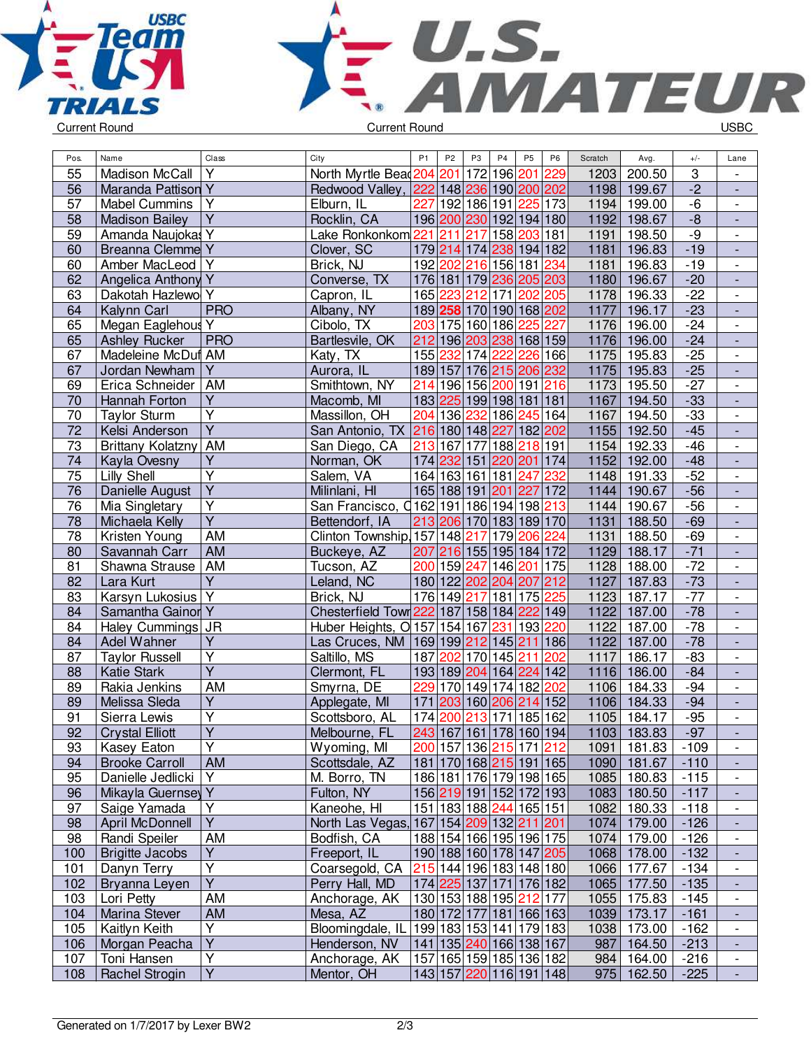



| Pos.            | Name                             | Class                         | City                                    | P <sub>1</sub> | P <sub>2</sub>  | P <sub>3</sub> | P4                                 | P <sub>5</sub> | P <sub>6</sub> | Scratch      | Avg.        | $+/-$           | Lane                                      |
|-----------------|----------------------------------|-------------------------------|-----------------------------------------|----------------|-----------------|----------------|------------------------------------|----------------|----------------|--------------|-------------|-----------------|-------------------------------------------|
| $\overline{55}$ | <b>Madison McCall</b>            | Y                             | North Myrtle Bead204                    |                | 201             |                | 172 196                            | 201            | 229            | 1203         | 200.50      | 3               |                                           |
| $\overline{56}$ | Maranda Pattison <sub>Y</sub>    |                               | Redwood Valley,                         |                |                 |                | 222 148 236 190 200 202            |                |                | 1198         | 199.67      | $\overline{-2}$ | $\overline{\phantom{a}}$                  |
| 57              | <b>Mabel Cummins</b>             | Υ                             | Elburn, IL                              | 227            |                 |                | 192 186 191                        |                | 225 173        | 1194         | 199.00      | $-6$            | $\overline{\phantom{a}}$                  |
| 58              | <b>Madison Bailey</b>            | Ÿ                             | Rocklin, CA                             |                |                 |                | 196 200 230 192 194 180            |                |                | 1192         | 198.67      | $-8$            | $\overline{\phantom{a}}$                  |
| 59              | Amanda Naujokas Y                |                               | Lake Ronkonkom 221 211                  |                |                 | 217            | 158                                | 203 181        |                | 1191         | 198.50      | -9              | $\overline{\phantom{a}}$                  |
| 60              | <b>Breanna Clemme Y</b>          |                               | Clover, SC                              |                |                 |                | 179 214 174 238 194 182            |                |                | 1181         | 196.83      | $-19$           | $\blacksquare$                            |
| 60              | Amber MacLeod                    | Y                             | Brick, NJ                               |                |                 |                | 192 202 216 156 181                |                | 234            | 1181         | 196.83      | $-19$           | $\overline{\phantom{a}}$                  |
| 62              | Angelica Anthony Y               |                               | Converse, TX                            |                |                 |                | 176 181 179 236 205 203            |                |                | 1180         | 196.67      | $-20$           | $\frac{1}{2}$                             |
| 63              | Dakotah Hazlewo                  | Y                             | Capron, IL                              |                | 165 223         |                | 212 171                            | 202 205        |                | 1178         | 196.33      | $-22$           | $\overline{\phantom{a}}$                  |
| 64              | Kalynn Carl                      | <b>PRO</b>                    | Albany, NY                              |                |                 |                | 189 258 170 190 168 202            |                |                | 1177         | 196.17      | $-23$           | $\overline{\phantom{a}}$                  |
| 65              | Megan Eaglehous                  | Y                             | Cibolo, TX                              |                |                 |                | 203 175 160 186                    | 225            | 227            | 1176         | 196.00      | $-24$           | $\overline{\phantom{a}}$                  |
| 65              | <b>Ashley Rucker</b>             | <b>PRO</b>                    | Bartlesvile, OK                         |                |                 |                | 212 196 203 238 168 159            |                |                | 1176         | 196.00      | $-24$           | $\blacksquare$                            |
| 67              | Madeleine McDuf AM               |                               | Katy, TX                                |                | 155 232 174 222 |                |                                    |                | 226 166        | 1175         | 195.83      | $-25$           | $\overline{\phantom{a}}$                  |
| 67              | Jordan Newham                    | Y                             | Aurora, IL                              | 189 157        |                 |                | 176 215                            | 206            | 232            | 1175         | 195.83      | $-25$           | $\overline{\phantom{a}}$                  |
| 69              | Erica Schneider                  | AM                            | Smithtown, NY                           |                |                 |                | 214 196 156 200                    | 191 216        |                | 1173         | 195.50      | $-27$           | $\overline{\phantom{a}}$                  |
| 70              | Hannah Forton                    | Ÿ                             | Macomb, MI                              |                |                 |                | 183 225 199 198 181 181            |                |                | 1167         | 194.50      | $-33$           | $\blacksquare$                            |
| 70              | <b>Taylor Sturm</b>              | $\overline{\mathsf{Y}}$       | Massillon, OH                           |                | 204 136 232     |                | 186 245 164                        |                |                | 1167         | 194.50      | $-33$           | $\overline{\phantom{a}}$                  |
| $\overline{72}$ | Kelsi Anderson                   | $\overline{\mathsf{Y}}$       | San Antonio, TX                         |                |                 |                | 216 180 148 227                    | 182 202        |                | 1155         | 192.50      | $-45$           | $\Box$                                    |
| 73              | <b>Brittany Kolatzny</b>         | AM                            | San Diego, CA                           |                | 213 167 177     |                | 188 218 191                        |                |                | 1154         | 192.33      | $-46$           | $\overline{\phantom{a}}$                  |
| 74              | Kayla Ovesny                     | Υ                             | Norman, OK                              |                |                 |                | 174 232 151 220 201 174            |                |                | 1152         | 192.00      | $-48$           | $\overline{\phantom{a}}$                  |
| 75              | Lilly Shell                      | Ÿ                             | Salem, VA                               |                | 164 163 161 181 |                |                                    | 247            | 232            | 1148         | 191.33      | $-52$           |                                           |
| 76              | Danielle August                  | $\overline{Y}$                | Milinlani, HI                           |                | 165 188 191 201 |                |                                    | 227            | 172            | 1144         | 190.67      | $-56$           | $\blacksquare$                            |
| 76              | Mia Singletary                   | $\overline{\mathsf{Y}}$       | San Francisco, 0162 191 186 194 198 213 |                |                 |                |                                    |                |                | 1144         | 190.67      | $-56$           | $\overline{\phantom{a}}$                  |
| 78              | Michaela Kelly                   | $\overline{Y}$                | Bettendorf, IA                          |                |                 |                | 213 206 170 183 189 170            |                |                | 1131         | 188.50      | $-69$           | $\overline{\phantom{a}}$                  |
| 78              | Kristen Young                    | <b>AM</b>                     | Clinton Township, 157 148 217           |                |                 |                | 179                                | 206            | 224            | 1131         | 188.50      | $-69$           | $\overline{\phantom{a}}$                  |
| 80              | Savannah Carr                    | <b>AM</b>                     | Buckeye, AZ                             |                |                 |                | 207 216 155 195 184 172            |                |                | 1129         | 188.17      | $-71$           | $\blacksquare$                            |
| 81              | Shawna Strause                   | AM                            | Tucson, AZ                              |                |                 |                | 200 159 247 146 201 175            |                |                | 1128         | 188.00      | $-72$           | $\overline{\phantom{0}}$                  |
| 82              | Lara Kurt                        | $\overline{Y}$                | Leland, NC                              |                |                 |                | 180 122 202 204 207 212            |                |                | 1127         | 187.83      | $-73$           | $\Box$                                    |
| 83              | Karsyn Lukosius                  | Y                             | Brick, NJ                               |                |                 |                | 176 149 217 181 175                |                | 225            | 1123         | 187.17      | $-77$           |                                           |
| 84              | Samantha Gainor Y                |                               | Chesterfield Town 222 187 158 184 222   |                |                 |                |                                    |                |                | 1122         | 187.00      | $-78$           | $\overline{\phantom{a}}$                  |
| 84              |                                  |                               | Huber Heights, O 157 154 167            |                |                 |                | 231                                | 193            | 149<br>220     | 1122         | 187.00      | $-78$           | $\overline{\phantom{a}}$<br>$\frac{1}{2}$ |
|                 | Haley Cummings JR<br>Adel Wahner | Y                             |                                         |                |                 |                |                                    | 211            |                | 1122         | 187.00      | $-78$           |                                           |
| 84<br>87        |                                  | Y                             | Las Cruces, NM                          |                |                 |                | 169 199 212 145<br>187 202 170 145 |                | 186<br>202     | 1117         |             |                 |                                           |
|                 | <b>Taylor Russell</b>            | $\overline{\mathsf{Y}}$       | Saltillo, MS                            |                |                 |                |                                    | 211            |                |              | 186.17      | $-83$           | $\overline{\phantom{a}}$                  |
| 88              | <b>Katie Stark</b>               |                               | Clermont, FL                            |                |                 |                | 193 189 204 164                    | 224            | 142            | 1116         | 186.00      | $-84$           | $\overline{a}$                            |
| 89              | Rakia Jenkins                    | AM<br>$\overline{\mathsf{Y}}$ | Smyrna, DE                              |                |                 |                | 229 170 149 174                    | 182            | 202            | 1106<br>1106 | 184.33      | $-94$           | $\overline{\phantom{a}}$                  |
| 89              | Melissa Sleda                    |                               | Applegate, MI                           | 171            |                 |                | 203 160 206 214 152                |                |                |              | 184.33      | $-94$           | $\Box$                                    |
| 91              | Sierra Lewis                     | Ÿ                             | Scottsboro, AL                          | 174 200        |                 |                | 213 171                            | 185 162        |                | 1105         | 184.17      | $-95$           | $\blacksquare$                            |
| $\overline{92}$ | <b>Crystal Elliott</b>           | $\overline{\mathsf{Y}}$       | Melbourne, FL                           |                |                 |                | 243 167 161 178 160 194            |                |                | 1103         | 183.83      | $-97$           | $\overline{a}$                            |
| 93              | Kasey Eaton                      | Y                             | Wyoming, MI                             |                |                 |                | 200 157 136 215 171 212            |                |                |              | 1091 181.83 | $-109$          | $\overline{\phantom{a}}$                  |
| 94              | <b>Brooke Carroll</b>            | <b>AM</b>                     | Scottsdale, AZ                          |                |                 |                | 181 170 168 215 191 165            |                |                |              | 1090 181.67 | $-110$          | $\overline{\phantom{a}}$                  |
| 95              | Danielle Jedlicki                | Y                             | M. Borro, TN                            |                |                 |                | 186 181 176 179 198 165            |                |                |              | 1085 180.83 | $-115$          | $\overline{\phantom{a}}$                  |
| 96              | Mikayla Guernsey Y               |                               | Fulton, NY                              |                |                 |                | 156 219 191 152 172 193            |                |                |              | 1083 180.50 | $-117$          |                                           |
| 97              | Saige Yamada                     | Υ                             | Kaneohe, HI                             |                |                 |                | 151 183 188 244 165 151            |                |                |              | 1082 180.33 | $-118$          | $\overline{\phantom{a}}$                  |
| 98              | April McDonnell                  | Y                             | North Las Vegas,                        |                |                 |                | 167 154 209 132 211 201            |                |                |              | 1074 179.00 | $-126$          | $\overline{\phantom{a}}$                  |
| 98              | Randi Speiler                    | AM                            | Bodfish, CA                             |                |                 |                | 188 154 166 195 196 175            |                |                | 1074         | 179.00      | $-126$          | $\overline{\phantom{a}}$                  |
| 100             | <b>Brigitte Jacobs</b>           | $\overline{Y}$                | Freeport, IL                            |                |                 |                | 190 188 160 178 147 205            |                |                |              | 1068 178.00 | $-132$          | $\Box$                                    |
| 101             | Danyn Terry                      | Y                             | Coarsegold, CA                          |                |                 |                | 215 144 196 183 148 180            |                |                |              | 1066 177.67 | $-134$          | $\blacksquare$                            |
| 102             | Bryanna Leyen                    | $\overline{Y}$                | Perry Hall, MD                          |                |                 |                | 174 225 137 171 176 182            |                |                |              | 1065 177.50 | $-135$          | $\Box$                                    |
| 103             | Lori Petty                       | AM                            | Anchorage, AK                           |                |                 |                | 130 153 188 195 212 177            |                |                |              | 1055 175.83 | $-145$          | $\overline{\phantom{a}}$                  |
| 104             | Marina Stever                    | <b>AM</b>                     | Mesa, AZ                                |                |                 |                | 180 172 177 181 166 163            |                |                |              | 1039 173.17 | $-161$          | $\overline{\phantom{a}}$                  |
| 105             | Kaitlyn Keith                    | Υ                             | Bloomingdale, IL                        |                |                 |                | 199 183 153 141 179 183            |                |                |              | 1038 173.00 | $-162$          | $\overline{\phantom{a}}$                  |
| 106             | Morgan Peacha                    | Ÿ                             | Henderson, NV                           |                |                 |                | 141   135   240   166   138   167  |                |                |              | 987 164.50  | $-213$          | $\overline{\phantom{a}}$                  |
| 107             | Toni Hansen                      | $\overline{\mathsf{Y}}$       | Anchorage, AK                           |                |                 |                | 157 165 159 185 136 182            |                |                |              | 984 164.00  | $-216$          | $\overline{\phantom{a}}$                  |
| 108             | <b>Rachel Strogin</b>            | $\overline{Y}$                | Mentor, OH                              |                |                 |                | 143 157 220 116 191 148            |                |                |              | 975 162.50  | $-225$          |                                           |